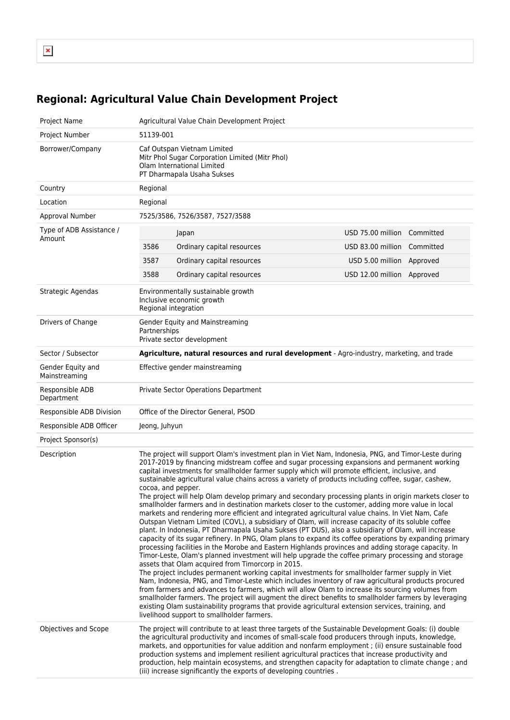$\pmb{\mathsf{x}}$ 

## **Regional: Agricultural Value Chain Development Project**

| Project Name                       | Agricultural Value Chain Development Project                                                                                                                                                                                                                                                                                                                                                                                                                                                                                                                                                                                                                                                                                                                                                                                                                                                                                                                                                                                                                                                                                                                                                                                                                                                                                                                                                                                                                                                                                                                                                                                                                                                                                                                                                                                                                                                                                 |                                |  |
|------------------------------------|------------------------------------------------------------------------------------------------------------------------------------------------------------------------------------------------------------------------------------------------------------------------------------------------------------------------------------------------------------------------------------------------------------------------------------------------------------------------------------------------------------------------------------------------------------------------------------------------------------------------------------------------------------------------------------------------------------------------------------------------------------------------------------------------------------------------------------------------------------------------------------------------------------------------------------------------------------------------------------------------------------------------------------------------------------------------------------------------------------------------------------------------------------------------------------------------------------------------------------------------------------------------------------------------------------------------------------------------------------------------------------------------------------------------------------------------------------------------------------------------------------------------------------------------------------------------------------------------------------------------------------------------------------------------------------------------------------------------------------------------------------------------------------------------------------------------------------------------------------------------------------------------------------------------------|--------------------------------|--|
| Project Number                     | 51139-001                                                                                                                                                                                                                                                                                                                                                                                                                                                                                                                                                                                                                                                                                                                                                                                                                                                                                                                                                                                                                                                                                                                                                                                                                                                                                                                                                                                                                                                                                                                                                                                                                                                                                                                                                                                                                                                                                                                    |                                |  |
| Borrower/Company                   | Caf Outspan Vietnam Limited<br>Mitr Phol Sugar Corporation Limited (Mitr Phol)<br>Olam International Limited<br>PT Dharmapala Usaha Sukses                                                                                                                                                                                                                                                                                                                                                                                                                                                                                                                                                                                                                                                                                                                                                                                                                                                                                                                                                                                                                                                                                                                                                                                                                                                                                                                                                                                                                                                                                                                                                                                                                                                                                                                                                                                   |                                |  |
| Country                            | Regional                                                                                                                                                                                                                                                                                                                                                                                                                                                                                                                                                                                                                                                                                                                                                                                                                                                                                                                                                                                                                                                                                                                                                                                                                                                                                                                                                                                                                                                                                                                                                                                                                                                                                                                                                                                                                                                                                                                     |                                |  |
| Location                           | Regional                                                                                                                                                                                                                                                                                                                                                                                                                                                                                                                                                                                                                                                                                                                                                                                                                                                                                                                                                                                                                                                                                                                                                                                                                                                                                                                                                                                                                                                                                                                                                                                                                                                                                                                                                                                                                                                                                                                     |                                |  |
| Approval Number                    | 7525/3586, 7526/3587, 7527/3588                                                                                                                                                                                                                                                                                                                                                                                                                                                                                                                                                                                                                                                                                                                                                                                                                                                                                                                                                                                                                                                                                                                                                                                                                                                                                                                                                                                                                                                                                                                                                                                                                                                                                                                                                                                                                                                                                              |                                |  |
| Type of ADB Assistance /<br>Amount | Japan                                                                                                                                                                                                                                                                                                                                                                                                                                                                                                                                                                                                                                                                                                                                                                                                                                                                                                                                                                                                                                                                                                                                                                                                                                                                                                                                                                                                                                                                                                                                                                                                                                                                                                                                                                                                                                                                                                                        | USD 75.00 million Committed    |  |
|                                    | 3586<br>Ordinary capital resources                                                                                                                                                                                                                                                                                                                                                                                                                                                                                                                                                                                                                                                                                                                                                                                                                                                                                                                                                                                                                                                                                                                                                                                                                                                                                                                                                                                                                                                                                                                                                                                                                                                                                                                                                                                                                                                                                           | USD 83.00 million<br>Committed |  |
|                                    | 3587<br>Ordinary capital resources                                                                                                                                                                                                                                                                                                                                                                                                                                                                                                                                                                                                                                                                                                                                                                                                                                                                                                                                                                                                                                                                                                                                                                                                                                                                                                                                                                                                                                                                                                                                                                                                                                                                                                                                                                                                                                                                                           | USD 5.00 million Approved      |  |
|                                    | 3588<br>Ordinary capital resources                                                                                                                                                                                                                                                                                                                                                                                                                                                                                                                                                                                                                                                                                                                                                                                                                                                                                                                                                                                                                                                                                                                                                                                                                                                                                                                                                                                                                                                                                                                                                                                                                                                                                                                                                                                                                                                                                           | USD 12.00 million Approved     |  |
| Strategic Agendas                  | Environmentally sustainable growth<br>Inclusive economic growth<br>Regional integration                                                                                                                                                                                                                                                                                                                                                                                                                                                                                                                                                                                                                                                                                                                                                                                                                                                                                                                                                                                                                                                                                                                                                                                                                                                                                                                                                                                                                                                                                                                                                                                                                                                                                                                                                                                                                                      |                                |  |
| Drivers of Change                  | Gender Equity and Mainstreaming<br>Partnerships<br>Private sector development                                                                                                                                                                                                                                                                                                                                                                                                                                                                                                                                                                                                                                                                                                                                                                                                                                                                                                                                                                                                                                                                                                                                                                                                                                                                                                                                                                                                                                                                                                                                                                                                                                                                                                                                                                                                                                                |                                |  |
| Sector / Subsector                 | Agriculture, natural resources and rural development - Agro-industry, marketing, and trade                                                                                                                                                                                                                                                                                                                                                                                                                                                                                                                                                                                                                                                                                                                                                                                                                                                                                                                                                                                                                                                                                                                                                                                                                                                                                                                                                                                                                                                                                                                                                                                                                                                                                                                                                                                                                                   |                                |  |
| Gender Equity and<br>Mainstreaming | Effective gender mainstreaming                                                                                                                                                                                                                                                                                                                                                                                                                                                                                                                                                                                                                                                                                                                                                                                                                                                                                                                                                                                                                                                                                                                                                                                                                                                                                                                                                                                                                                                                                                                                                                                                                                                                                                                                                                                                                                                                                               |                                |  |
| Responsible ADB<br>Department      | Private Sector Operations Department                                                                                                                                                                                                                                                                                                                                                                                                                                                                                                                                                                                                                                                                                                                                                                                                                                                                                                                                                                                                                                                                                                                                                                                                                                                                                                                                                                                                                                                                                                                                                                                                                                                                                                                                                                                                                                                                                         |                                |  |
| Responsible ADB Division           | Office of the Director General, PSOD                                                                                                                                                                                                                                                                                                                                                                                                                                                                                                                                                                                                                                                                                                                                                                                                                                                                                                                                                                                                                                                                                                                                                                                                                                                                                                                                                                                                                                                                                                                                                                                                                                                                                                                                                                                                                                                                                         |                                |  |
| Responsible ADB Officer            | Jeong, Juhyun                                                                                                                                                                                                                                                                                                                                                                                                                                                                                                                                                                                                                                                                                                                                                                                                                                                                                                                                                                                                                                                                                                                                                                                                                                                                                                                                                                                                                                                                                                                                                                                                                                                                                                                                                                                                                                                                                                                |                                |  |
| Project Sponsor(s)                 |                                                                                                                                                                                                                                                                                                                                                                                                                                                                                                                                                                                                                                                                                                                                                                                                                                                                                                                                                                                                                                                                                                                                                                                                                                                                                                                                                                                                                                                                                                                                                                                                                                                                                                                                                                                                                                                                                                                              |                                |  |
| Description                        | The project will support Olam's investment plan in Viet Nam, Indonesia, PNG, and Timor-Leste during<br>2017-2019 by financing midstream coffee and sugar processing expansions and permanent working<br>capital investments for smallholder farmer supply which will promote efficient, inclusive, and<br>sustainable agricultural value chains across a variety of products including coffee, sugar, cashew,<br>cocoa, and pepper.<br>The project will help Olam develop primary and secondary processing plants in origin markets closer to<br>smallholder farmers and in destination markets closer to the customer, adding more value in local<br>markets and rendering more efficient and integrated agricultural value chains. In Viet Nam, Cafe<br>Outspan Vietnam Limited (COVL), a subsidiary of Olam, will increase capacity of its soluble coffee<br>plant. In Indonesia, PT Dharmapala Usaha Sukses (PT DUS), also a subsidiary of Olam, will increase<br>capacity of its sugar refinery. In PNG, Olam plans to expand its coffee operations by expanding primary<br>processing facilities in the Morobe and Eastern Highlands provinces and adding storage capacity. In<br>Timor-Leste, Olam's planned investment will help upgrade the coffee primary processing and storage<br>assets that Olam acquired from Timorcorp in 2015.<br>The project includes permanent working capital investments for smallholder farmer supply in Viet<br>Nam, Indonesia, PNG, and Timor-Leste which includes inventory of raw agricultural products procured<br>from farmers and advances to farmers, which will allow Olam to increase its sourcing volumes from<br>smallholder farmers. The project will augment the direct benefits to smallholder farmers by leveraging<br>existing Olam sustainability programs that provide agricultural extension services, training, and<br>livelihood support to smallholder farmers. |                                |  |
| Objectives and Scope               | The project will contribute to at least three targets of the Sustainable Development Goals: (i) double<br>the agricultural productivity and incomes of small-scale food producers through inputs, knowledge,<br>markets, and opportunities for value addition and nonfarm employment ; (ii) ensure sustainable food<br>production systems and implement resilient agricultural practices that increase productivity and<br>production, help maintain ecosystems, and strengthen capacity for adaptation to climate change; and<br>(iii) increase significantly the exports of developing countries.                                                                                                                                                                                                                                                                                                                                                                                                                                                                                                                                                                                                                                                                                                                                                                                                                                                                                                                                                                                                                                                                                                                                                                                                                                                                                                                          |                                |  |